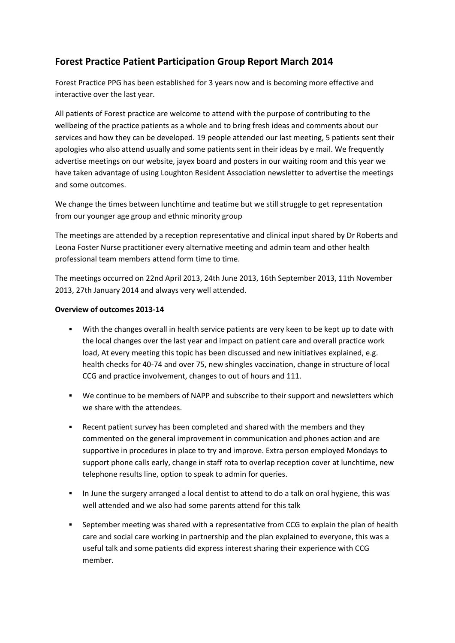## **Forest Practice Patient Participation Group Report March 2014**

Forest Practice PPG has been established for 3 years now and is becoming more effective and interactive over the last year.

All patients of Forest practice are welcome to attend with the purpose of contributing to the wellbeing of the practice patients as a whole and to bring fresh ideas and comments about our services and how they can be developed. 19 people attended our last meeting, 5 patients sent their apologies who also attend usually and some patients sent in their ideas by e mail. We frequently advertise meetings on our website, jayex board and posters in our waiting room and this year we have taken advantage of using Loughton Resident Association newsletter to advertise the meetings and some outcomes.

We change the times between lunchtime and teatime but we still struggle to get representation from our younger age group and ethnic minority group

The meetings are attended by a reception representative and clinical input shared by Dr Roberts and Leona Foster Nurse practitioner every alternative meeting and admin team and other health professional team members attend form time to time.

The meetings occurred on 22nd April 2013, 24th June 2013, 16th September 2013, 11th November 2013, 27th January 2014 and always very well attended.

## **Overview of outcomes 2013-14**

- With the changes overall in health service patients are very keen to be kept up to date with the local changes over the last year and impact on patient care and overall practice work load, At every meeting this topic has been discussed and new initiatives explained, e.g. health checks for 40-74 and over 75, new shingles vaccination, change in structure of local CCG and practice involvement, changes to out of hours and 111.
- We continue to be members of NAPP and subscribe to their support and newsletters which we share with the attendees.
- Recent patient survey has been completed and shared with the members and they commented on the general improvement in communication and phones action and are supportive in procedures in place to try and improve. Extra person employed Mondays to support phone calls early, change in staff rota to overlap reception cover at lunchtime, new telephone results line, option to speak to admin for queries.
- In June the surgery arranged a local dentist to attend to do a talk on oral hygiene, this was well attended and we also had some parents attend for this talk
- September meeting was shared with a representative from CCG to explain the plan of health care and social care working in partnership and the plan explained to everyone, this was a useful talk and some patients did express interest sharing their experience with CCG member.